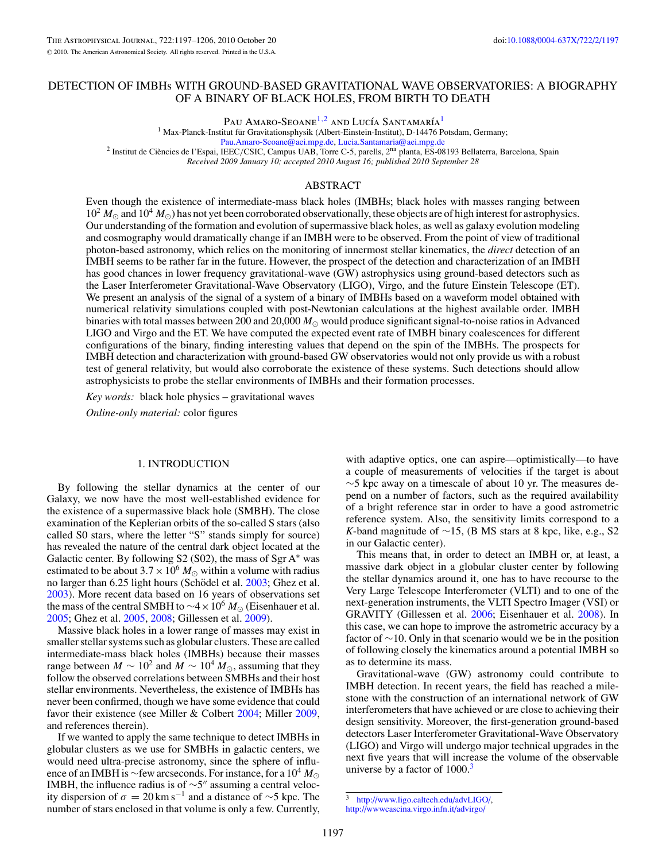# DETECTION OF IMBHs WITH GROUND-BASED GRAVITATIONAL WAVE OBSERVATORIES: A BIOGRAPHY OF A BINARY OF BLACK HOLES, FROM BIRTH TO DEATH

Pau Amaro-Seoane<sup>1,2</sup> and Lucía Santamaría<sup>1</sup>

<sup>1</sup> Max-Planck-Institut für Gravitationsphysik (Albert-Einstein-Institut), D-14476 Potsdam, Germany;

[Pau.Amaro-Seoane@aei.mpg.de,](mailto:Pau.Amaro-Seoane@aei.mpg.de) [Lucia.Santamaria@aei.mpg.de](mailto:Lucia.Santamaria@aei.mpg.de)<br><sup>2</sup> Institut de Ciències de l'Espai, IEEC/CSIC, Campus UAB, Torre C-5, parells, 2<sup>na</sup> planta, ES-08193 Bellaterra, Barcelona, Spain *Received 2009 January 10; accepted 2010 August 16; published 2010 September 28*

# ABSTRACT

Even though the existence of intermediate-mass black holes (IMBHs; black holes with masses ranging between  $10^2 M_{\odot}$  and  $10^4 M_{\odot}$ ) has not yet been corroborated observationally, these objects are of high interest for astrophysics. Our understanding of the formation and evolution of supermassive black holes, as well as galaxy evolution modeling and cosmography would dramatically change if an IMBH were to be observed. From the point of view of traditional photon-based astronomy, which relies on the monitoring of innermost stellar kinematics, the *direct* detection of an IMBH seems to be rather far in the future. However, the prospect of the detection and characterization of an IMBH has good chances in lower frequency gravitational-wave (GW) astrophysics using ground-based detectors such as the Laser Interferometer Gravitational-Wave Observatory (LIGO), Virgo, and the future Einstein Telescope (ET). We present an analysis of the signal of a system of a binary of IMBHs based on a waveform model obtained with numerical relativity simulations coupled with post-Newtonian calculations at the highest available order. IMBH binaries with total masses between 200 and 20,000  $M_{\odot}$  would produce significant signal-to-noise ratios in Advanced LIGO and Virgo and the ET. We have computed the expected event rate of IMBH binary coalescences for different configurations of the binary, finding interesting values that depend on the spin of the IMBHs. The prospects for IMBH detection and characterization with ground-based GW observatories would not only provide us with a robust test of general relativity, but would also corroborate the existence of these systems. Such detections should allow astrophysicists to probe the stellar environments of IMBHs and their formation processes.

*Key words:* black hole physics – gravitational waves

*Online-only material:* color figures

## 1. INTRODUCTION

By following the stellar dynamics at the center of our Galaxy, we now have the most well-established evidence for the existence of a supermassive black hole (SMBH). The close examination of the Keplerian orbits of the so-called S stars (also called S0 stars, where the letter "S" stands simply for source) has revealed the nature of the central dark object located at the Galactic center. By following  $S2$  (S02), the mass of Sgr A $*$  was estimated to be about  $3.7 \times 10^6$  *M*<sub> $\odot$ </sub> within a volume with radius no larger than 6.25 light hours (Schödel et al. [2003;](#page-9-0) Ghez et al. [2003\)](#page-9-0). More recent data based on 16 years of observations set the mass of the central SMBH to  $\sim$ 4 × 10<sup>6</sup>  $M_{\odot}$  (Eisenhauer et al. [2005;](#page-9-0) Ghez et al. [2005,](#page-9-0) [2008;](#page-9-0) Gillessen et al. [2009\)](#page-9-0).

Massive black holes in a lower range of masses may exist in smaller stellar systems such as globular clusters. These are called intermediate-mass black holes (IMBHs) because their masses range between *M* ∼ 10<sup>2</sup> and *M* ∼ 10<sup>4</sup>  $M_{\odot}$ , assuming that they follow the observed correlations between SMBHs and their host stellar environments. Nevertheless, the existence of IMBHs has never been confirmed, though we have some evidence that could favor their existence (see Miller & Colbert [2004;](#page-9-0) Miller [2009,](#page-9-0) and references therein).

If we wanted to apply the same technique to detect IMBHs in globular clusters as we use for SMBHs in galactic centers, we would need ultra-precise astronomy, since the sphere of influence of an IMBH is <sup>∼</sup>few arcseconds. For instance, for a 10<sup>4</sup> *<sup>M</sup>* IMBH, the influence radius is of  $\sim$ 5" assuming a central velocity dispersion of  $\sigma = 20 \text{ km s}^{-1}$  and a distance of ~5 kpc. The number of stars enclosed in that volume is only a few. Currently,

with adaptive optics, one can aspire—optimistically—to have a couple of measurements of velocities if the target is about  $\sim$ 5 kpc away on a timescale of about 10 yr. The measures depend on a number of factors, such as the required availability of a bright reference star in order to have a good astrometric reference system. Also, the sensitivity limits correspond to a *K*-band magnitude of ∼15, (B MS stars at 8 kpc, like, e.g., S2 in our Galactic center).

This means that, in order to detect an IMBH or, at least, a massive dark object in a globular cluster center by following the stellar dynamics around it, one has to have recourse to the Very Large Telescope Interferometer (VLTI) and to one of the next-generation instruments, the VLTI Spectro Imager (VSI) or GRAVITY (Gillessen et al. [2006;](#page-9-0) Eisenhauer et al. [2008\)](#page-9-0). In this case, we can hope to improve the astrometric accuracy by a factor of ∼10. Only in that scenario would we be in the position of following closely the kinematics around a potential IMBH so as to determine its mass.

Gravitational-wave (GW) astronomy could contribute to IMBH detection. In recent years, the field has reached a milestone with the construction of an international network of GW interferometers that have achieved or are close to achieving their design sensitivity. Moreover, the first-generation ground-based detectors Laser Interferometer Gravitational-Wave Observatory (LIGO) and Virgo will undergo major technical upgrades in the next five years that will increase the volume of the observable universe by a factor of  $1000<sup>3</sup>$ 

<sup>3</sup> [http://www.ligo.caltech.edu/advLIGO/,](http://www.ligo.caltech.edu/advLIGO/) <http://wwwcascina.virgo.infn.it/advirgo/>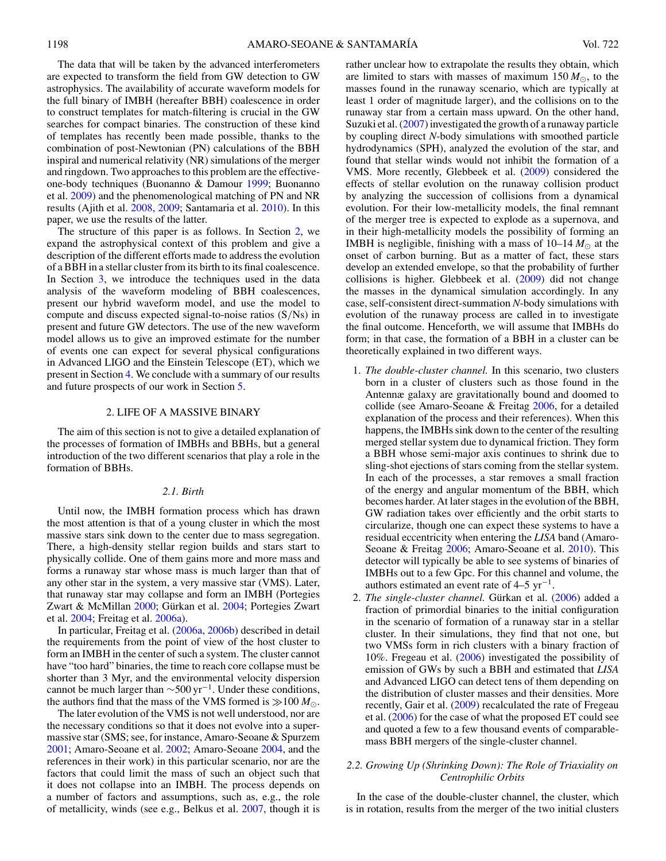<span id="page-1-0"></span>The data that will be taken by the advanced interferometers are expected to transform the field from GW detection to GW astrophysics. The availability of accurate waveform models for the full binary of IMBH (hereafter BBH) coalescence in order to construct templates for match-filtering is crucial in the GW searches for compact binaries. The construction of these kind of templates has recently been made possible, thanks to the combination of post-Newtonian (PN) calculations of the BBH inspiral and numerical relativity (NR) simulations of the merger and ringdown. Two approaches to this problem are the effectiveone-body techniques (Buonanno & Damour [1999;](#page-9-0) Buonanno et al. [2009\)](#page-9-0) and the phenomenological matching of PN and NR results (Ajith et al. [2008,](#page-9-0) [2009;](#page-9-0) Santamaria et al. [2010\)](#page-9-0). In this paper, we use the results of the latter.

The structure of this paper is as follows. In Section 2, we expand the astrophysical context of this problem and give a description of the different efforts made to address the evolution of a BBH in a stellar cluster from its birth to its final coalescence. In Section [3,](#page-3-0) we introduce the techniques used in the data analysis of the waveform modeling of BBH coalescences, present our hybrid waveform model, and use the model to compute and discuss expected signal-to-noise ratios (S*/*Ns) in present and future GW detectors. The use of the new waveform model allows us to give an improved estimate for the number of events one can expect for several physical configurations in Advanced LIGO and the Einstein Telescope (ET), which we present in Section [4.](#page-5-0) We conclude with a summary of our results and future prospects of our work in Section [5.](#page-8-0)

#### 2. LIFE OF A MASSIVE BINARY

The aim of this section is not to give a detailed explanation of the processes of formation of IMBHs and BBHs, but a general introduction of the two different scenarios that play a role in the formation of BBHs.

## *2.1. Birth*

Until now, the IMBH formation process which has drawn the most attention is that of a young cluster in which the most massive stars sink down to the center due to mass segregation. There, a high-density stellar region builds and stars start to physically collide. One of them gains more and more mass and forms a runaway star whose mass is much larger than that of any other star in the system, a very massive star (VMS). Later, that runaway star may collapse and form an IMBH (Portegies Zwart & McMillan [2000;](#page-9-0) Gürkan et al. [2004;](#page-9-0) Portegies Zwart et al. [2004;](#page-9-0) Freitag et al. [2006a\)](#page-9-0).

In particular, Freitag et al. [\(2006a,](#page-9-0) [2006b\)](#page-9-0) described in detail the requirements from the point of view of the host cluster to form an IMBH in the center of such a system. The cluster cannot have "too hard" binaries, the time to reach core collapse must be shorter than 3 Myr, and the environmental velocity dispersion cannot be much larger than  $\sim$ 500 yr<sup>-1</sup>. Under these conditions, the authors find that the mass of the VMS formed is  $\gg 100 M_{\odot}$ .

The later evolution of the VMS is not well understood, nor are the necessary conditions so that it does not evolve into a supermassive star (SMS; see, for instance, Amaro-Seoane & Spurzem [2001;](#page-9-0) Amaro-Seoane et al. [2002;](#page-9-0) Amaro-Seoane [2004,](#page-9-0) and the references in their work) in this particular scenario, nor are the factors that could limit the mass of such an object such that it does not collapse into an IMBH. The process depends on a number of factors and assumptions, such as, e.g., the role of metallicity, winds (see e.g., Belkus et al. [2007,](#page-9-0) though it is rather unclear how to extrapolate the results they obtain, which are limited to stars with masses of maximum  $150 M_{\odot}$ , to the masses found in the runaway scenario, which are typically at least 1 order of magnitude larger), and the collisions on to the runaway star from a certain mass upward. On the other hand, Suzuki et al. [\(2007\)](#page-9-0) investigated the growth of a runaway particle by coupling direct *N*-body simulations with smoothed particle hydrodynamics (SPH), analyzed the evolution of the star, and found that stellar winds would not inhibit the formation of a VMS. More recently, Glebbeek et al. [\(2009\)](#page-9-0) considered the effects of stellar evolution on the runaway collision product by analyzing the succession of collisions from a dynamical evolution. For their low-metallicity models, the final remnant of the merger tree is expected to explode as a supernova, and in their high-metallicity models the possibility of forming an IMBH is negligible, finishing with a mass of  $10-14 M_{\odot}$  at the onset of carbon burning. But as a matter of fact, these stars develop an extended envelope, so that the probability of further collisions is higher. Glebbeek et al. [\(2009\)](#page-9-0) did not change the masses in the dynamical simulation accordingly. In any case, self-consistent direct-summation *N*-body simulations with evolution of the runaway process are called in to investigate the final outcome. Henceforth, we will assume that IMBHs do form; in that case, the formation of a BBH in a cluster can be theoretically explained in two different ways.

- 1. *The double-cluster channel.* In this scenario, two clusters born in a cluster of clusters such as those found in the Antennæ galaxy are gravitationally bound and doomed to collide (see Amaro-Seoane & Freitag [2006,](#page-9-0) for a detailed explanation of the process and their references). When this happens, the IMBHs sink down to the center of the resulting merged stellar system due to dynamical friction. They form a BBH whose semi-major axis continues to shrink due to sling-shot ejections of stars coming from the stellar system. In each of the processes, a star removes a small fraction of the energy and angular momentum of the BBH, which becomes harder. At later stages in the evolution of the BBH, GW radiation takes over efficiently and the orbit starts to circularize, though one can expect these systems to have a residual eccentricity when entering the *LISA* band (Amaro-Seoane & Freitag [2006;](#page-9-0) Amaro-Seoane et al. [2010\)](#page-9-0). This detector will typically be able to see systems of binaries of IMBHs out to a few Gpc. For this channel and volume, the authors estimated an event rate of  $4-5$  yr<sup>-1</sup>.
- 2. *The single-cluster channel*. Gürkan et al. ([2006\)](#page-9-0) added a fraction of primordial binaries to the initial configuration in the scenario of formation of a runaway star in a stellar cluster. In their simulations, they find that not one, but two VMSs form in rich clusters with a binary fraction of 10%. Fregeau et al. [\(2006\)](#page-9-0) investigated the possibility of emission of GWs by such a BBH and estimated that *LISA* and Advanced LIGO can detect tens of them depending on the distribution of cluster masses and their densities. More recently, Gair et al. [\(2009\)](#page-9-0) recalculated the rate of Fregeau et al. [\(2006\)](#page-9-0) for the case of what the proposed ET could see and quoted a few to a few thousand events of comparablemass BBH mergers of the single-cluster channel.

## *2.2. Growing Up (Shrinking Down): The Role of Triaxiality on Centrophilic Orbits*

In the case of the double-cluster channel, the cluster, which is in rotation, results from the merger of the two initial clusters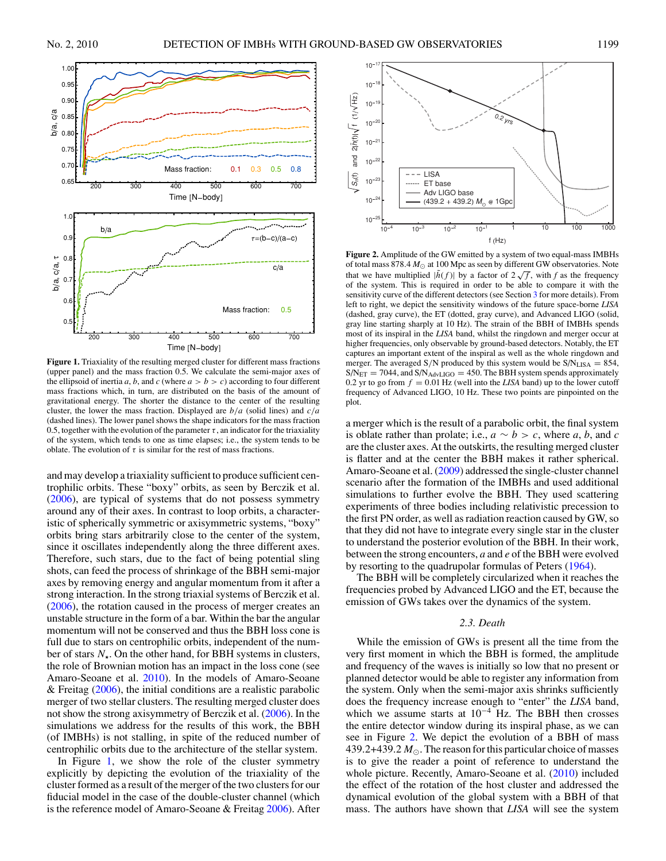<span id="page-2-0"></span>

**Figure 1.** Triaxiality of the resulting merged cluster for different mass fractions (upper panel) and the mass fraction 0.5. We calculate the semi-major axes of the ellipsoid of inertia *a*, *b*, and *c* (where  $a > b > c$ ) according to four different mass fractions which, in turn, are distributed on the basis of the amount of gravitational energy. The shorter the distance to the center of the resulting cluster, the lower the mass fraction. Displayed are *b/a* (solid lines) and *c/a* (dashed lines). The lower panel shows the shape indicators for the mass fraction 0.5, together with the evolution of the parameter  $\tau$ , an indicator for the triaxiality of the system, which tends to one as time elapses; i.e., the system tends to be oblate. The evolution of  $\tau$  is similar for the rest of mass fractions.

and may develop a triaxiality sufficient to produce sufficient centrophilic orbits. These "boxy" orbits, as seen by Berczik et al. [\(2006\)](#page-9-0), are typical of systems that do not possess symmetry around any of their axes. In contrast to loop orbits, a characteristic of spherically symmetric or axisymmetric systems, "boxy" orbits bring stars arbitrarily close to the center of the system, since it oscillates independently along the three different axes. Therefore, such stars, due to the fact of being potential sling shots, can feed the process of shrinkage of the BBH semi-major axes by removing energy and angular momentum from it after a strong interaction. In the strong triaxial systems of Berczik et al. [\(2006\)](#page-9-0), the rotation caused in the process of merger creates an unstable structure in the form of a bar. Within the bar the angular momentum will not be conserved and thus the BBH loss cone is full due to stars on centrophilic orbits, independent of the number of stars *N*. On the other hand, for BBH systems in clusters, the role of Brownian motion has an impact in the loss cone (see Amaro-Seoane et al. [2010\)](#page-9-0). In the models of Amaro-Seoane  $&$  Freitag [\(2006\)](#page-9-0), the initial conditions are a realistic parabolic merger of two stellar clusters. The resulting merged cluster does not show the strong axisymmetry of Berczik et al. [\(2006\)](#page-9-0). In the simulations we address for the results of this work, the BBH (of IMBHs) is not stalling, in spite of the reduced number of centrophilic orbits due to the architecture of the stellar system.

In Figure 1, we show the role of the cluster symmetry explicitly by depicting the evolution of the triaxiality of the cluster formed as a result of the merger of the two clusters for our fiducial model in the case of the double-cluster channel (which is the reference model of Amaro-Seoane & Freitag [2006\)](#page-9-0). After



**Figure 2.** Amplitude of the GW emitted by a system of two equal-mass IMBHs of total mass 878.4  $M_{\odot}$  at 100 Mpc as seen by different GW observatories. Note that we have multiplied  $|\tilde{h}(f)|$  by a factor of  $2\sqrt{f}$ , with *f* as the frequency of the system. This is required in order to be able to compare it with the sensitivity curve of the different detectors (see Section [3](#page-3-0) for more details). From left to right, we depict the sensitivity windows of the future space-borne *LISA* (dashed, gray curve), the ET (dotted, gray curve), and Advanced LIGO (solid, gray line starting sharply at 10 Hz). The strain of the BBH of IMBHs spends most of its inspiral in the *LISA* band, whilst the ringdown and merger occur at higher frequencies, only observable by ground-based detectors. Notably, the ET captures an important extent of the inspiral as well as the whole ringdown and merger. The averaged  $S/N$  produced by this system would be  $S/N_{LISA} = 854$ ,  $S/N_{\text{ET}} = 7044$ , and  $S/N_{\text{AdvLIGO}} = 450$ . The BBH system spends approximately 0.2 yr to go from  $f = 0.01$  Hz (well into the *LISA* band) up to the lower cutoff frequency of Advanced LIGO, 10 Hz. These two points are pinpointed on the plot.

a merger which is the result of a parabolic orbit, the final system is oblate rather than prolate; i.e.,  $a \sim b > c$ , where *a*, *b*, and *c* are the cluster axes. At the outskirts, the resulting merged cluster is flatter and at the center the BBH makes it rather spherical. Amaro-Seoane et al. [\(2009\)](#page-9-0) addressed the single-cluster channel scenario after the formation of the IMBHs and used additional simulations to further evolve the BBH. They used scattering experiments of three bodies including relativistic precession to the first PN order, as well as radiation reaction caused by GW, so that they did not have to integrate every single star in the cluster to understand the posterior evolution of the BBH. In their work, between the strong encounters, *a* and *e* of the BBH were evolved by resorting to the quadrupolar formulas of Peters [\(1964\)](#page-9-0).

The BBH will be completely circularized when it reaches the frequencies probed by Advanced LIGO and the ET, because the emission of GWs takes over the dynamics of the system.

## *2.3. Death*

While the emission of GWs is present all the time from the very first moment in which the BBH is formed, the amplitude and frequency of the waves is initially so low that no present or planned detector would be able to register any information from the system. Only when the semi-major axis shrinks sufficiently does the frequency increase enough to "enter" the *LISA* band, which we assume starts at  $10^{-4}$  Hz. The BBH then crosses the entire detector window during its inspiral phase, as we can see in Figure 2. We depict the evolution of a BBH of mass 439.2+439.2  $M_{\odot}$ . The reason for this particular choice of masses is to give the reader a point of reference to understand the whole picture. Recently, Amaro-Seoane et al. [\(2010\)](#page-9-0) included the effect of the rotation of the host cluster and addressed the dynamical evolution of the global system with a BBH of that mass. The authors have shown that *LISA* will see the system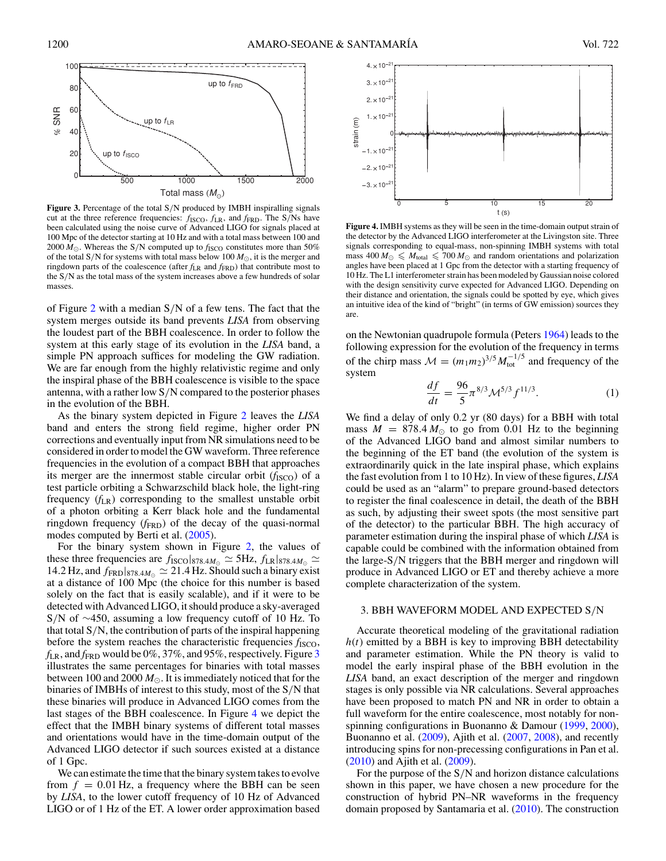<span id="page-3-0"></span>

**Figure 3.** Percentage of the total S*/*N produced by IMBH inspiralling signals cut at the three reference frequencies: *f*ISCO*, f*LR, and *f*FRD. The S*/*Ns have been calculated using the noise curve of Advanced LIGO for signals placed at 100 Mpc of the detector starting at 10 Hz and with a total mass between 100 and 2000  $M_{\odot}$ . Whereas the S/N computed up to  $f_{\rm ISCO}$  constitutes more than 50% of the total S/N for systems with total mass below  $100 M_{\odot}$ , it is the merger and ringdown parts of the coalescence (after  $f_{LR}$  and  $f_{FRD}$ ) that contribute most to the S*/*N as the total mass of the system increases above a few hundreds of solar masses.

of Figure [2](#page-2-0) with a median S*/*N of a few tens. The fact that the system merges outside its band prevents *LISA* from observing the loudest part of the BBH coalescence. In order to follow the system at this early stage of its evolution in the *LISA* band, a simple PN approach suffices for modeling the GW radiation. We are far enough from the highly relativistic regime and only the inspiral phase of the BBH coalescence is visible to the space antenna, with a rather low S*/*N compared to the posterior phases in the evolution of the BBH.

As the binary system depicted in Figure [2](#page-2-0) leaves the *LISA* band and enters the strong field regime, higher order PN corrections and eventually input from NR simulations need to be considered in order to model the GW waveform. Three reference frequencies in the evolution of a compact BBH that approaches its merger are the innermost stable circular orbit  $(f<sub>ISCO</sub>)$  of a test particle orbiting a Schwarzschild black hole, the light-ring frequency (*f*LR) corresponding to the smallest unstable orbit of a photon orbiting a Kerr black hole and the fundamental ringdown frequency  $(f_{\text{FRD}})$  of the decay of the quasi-normal modes computed by Berti et al. [\(2005\)](#page-9-0).

For the binary system shown in Figure [2,](#page-2-0) the values of these three frequencies are  $f_{\text{ISCO}}|_{878.4M_{\odot}} \simeq 5 \text{Hz}$ ,  $f_{\text{LR}}|_{878.4M_{\odot}} \simeq$ 14.2 Hz, and  $f_{\text{FRD}}|_{878.4M_{\odot}} \simeq 21.4$  Hz. Should such a binary exist at a distance of 100 Mpc (the choice for this number is based solely on the fact that is easily scalable), and if it were to be detected with Advanced LIGO, it should produce a sky-averaged S*/*N of ∼450, assuming a low frequency cutoff of 10 Hz. To that total S*/*N, the contribution of parts of the inspiral happening before the system reaches the characteristic frequencies  $f_{\text{ISCO}}$ ,  $f_{LR}$ , and  $f_{FRD}$  would be 0%, 37%, and 95%, respectively. Figure 3 illustrates the same percentages for binaries with total masses between 100 and 2000  $M_{\odot}$ . It is immediately noticed that for the binaries of IMBHs of interest to this study, most of the S*/*N that these binaries will produce in Advanced LIGO comes from the last stages of the BBH coalescence. In Figure 4 we depict the effect that the IMBH binary systems of different total masses and orientations would have in the time-domain output of the Advanced LIGO detector if such sources existed at a distance of 1 Gpc.

We can estimate the time that the binary system takes to evolve from  $f = 0.01$  Hz, a frequency where the BBH can be seen by *LISA*, to the lower cutoff frequency of 10 Hz of Advanced LIGO or of 1 Hz of the ET. A lower order approximation based



**Figure 4.** IMBH systems as they will be seen in the time-domain output strain of the detector by the Advanced LIGO interferometer at the Livingston site. Three signals corresponding to equal-mass, non-spinning IMBH systems with total mass  $400 M_{\odot} \leq M_{\text{total}} \leq 700 M_{\odot}$  and random orientations and polarization angles have been placed at 1 Gpc from the detector with a starting frequency of 10 Hz. The L1 interferometer strain has been modeled by Gaussian noise colored with the design sensitivity curve expected for Advanced LIGO. Depending on their distance and orientation, the signals could be spotted by eye, which gives an intuitive idea of the kind of "bright" (in terms of GW emission) sources they are.

on the Newtonian quadrupole formula (Peters [1964\)](#page-9-0) leads to the following expression for the evolution of the frequency in terms of the chirp mass  $M = (m_1 m_2)^{3/5} M_{\text{tot}}^{-1/5}$  and frequency of the system

$$
\frac{df}{dt} = \frac{96}{5}\pi^{8/3}\mathcal{M}^{5/3}f^{11/3}.\tag{1}
$$

We find a delay of only 0.2 yr (80 days) for a BBH with total mass  $M = 878.4 M_{\odot}$  to go from 0.01 Hz to the beginning of the Advanced LIGO band and almost similar numbers to the beginning of the ET band (the evolution of the system is extraordinarily quick in the late inspiral phase, which explains the fast evolution from 1 to 10 Hz). In view of these figures, *LISA* could be used as an "alarm" to prepare ground-based detectors to register the final coalescence in detail, the death of the BBH as such, by adjusting their sweet spots (the most sensitive part of the detector) to the particular BBH. The high accuracy of parameter estimation during the inspiral phase of which *LISA* is capable could be combined with the information obtained from the large-S*/*N triggers that the BBH merger and ringdown will produce in Advanced LIGO or ET and thereby achieve a more complete characterization of the system.

## 3. BBH WAVEFORM MODEL AND EXPECTED S*/*N

Accurate theoretical modeling of the gravitational radiation  $h(t)$  emitted by a BBH is key to improving BBH detectability and parameter estimation. While the PN theory is valid to model the early inspiral phase of the BBH evolution in the *LISA* band, an exact description of the merger and ringdown stages is only possible via NR calculations. Several approaches have been proposed to match PN and NR in order to obtain a full waveform for the entire coalescence, most notably for nonspinning configurations in Buonanno & Damour [\(1999,](#page-9-0) [2000\)](#page-9-0), Buonanno et al. [\(2009\)](#page-9-0), Ajith et al. [\(2007,](#page-9-0) [2008\)](#page-9-0), and recently introducing spins for non-precessing configurations in Pan et al. [\(2010\)](#page-9-0) and Ajith et al. [\(2009\)](#page-9-0).

For the purpose of the S*/*N and horizon distance calculations shown in this paper, we have chosen a new procedure for the construction of hybrid PN–NR waveforms in the frequency domain proposed by Santamaria et al. [\(2010\)](#page-9-0). The construction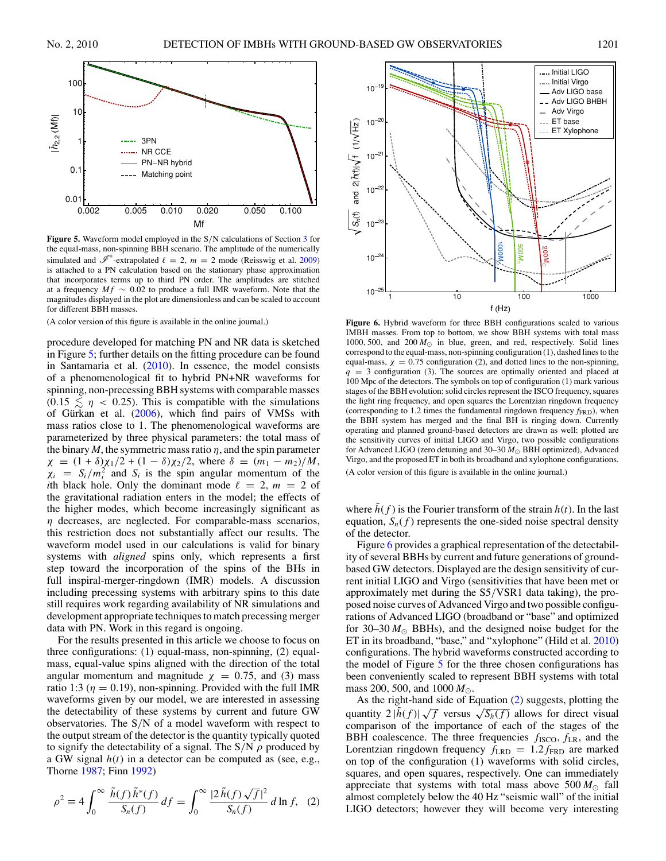<span id="page-4-0"></span>

**Figure 5.** Waveform model employed in the S*/*N calculations of Section [3](#page-3-0) for the equal-mass, non-spinning BBH scenario. The amplitude of the numerically simulated and  $\mathscr{I}^+$ -extrapolated  $\ell = 2$ ,  $m = 2$  mode (Reisswig et al. [2009\)](#page-9-0) is attached to a PN calculation based on the stationary phase approximation that incorporates terms up to third PN order. The amplitudes are stitched at a frequency  $Mf \sim 0.02$  to produce a full IMR waveform. Note that the magnitudes displayed in the plot are dimensionless and can be scaled to account for different BBH masses.

(A color version of this figure is available in the online journal.)

procedure developed for matching PN and NR data is sketched in Figure 5; further details on the fitting procedure can be found in Santamaria et al. [\(2010\)](#page-9-0). In essence, the model consists of a phenomenological fit to hybrid PN+NR waveforms for spinning, non-precessing BBH systems with comparable masses  $(0.15 \leq \eta < 0.25)$ . This is compatible with the simulations of Gürkan et al.  $(2006)$  $(2006)$ , which find pairs of VMSs with mass ratios close to 1. The phenomenological waveforms are parameterized by three physical parameters: the total mass of the binary  $M$ , the symmetric mass ratio  $\eta$ , and the spin parameter *χ* =  $(1 + δ)χ_1/2 + (1 - δ)χ_2/2$ , where  $δ = (m_1 - m_2)/M$ ,  $\chi_i = S_i/m_i^2$  and  $S_i$  is the spin angular momentum of the *i*th black hole. Only the dominant mode  $\ell = 2$ ,  $m = 2$  of the gravitational radiation enters in the model; the effects of the higher modes, which become increasingly significant as *η* decreases, are neglected. For comparable-mass scenarios, this restriction does not substantially affect our results. The waveform model used in our calculations is valid for binary systems with *aligned* spins only, which represents a first step toward the incorporation of the spins of the BHs in full inspiral-merger-ringdown (IMR) models. A discussion including precessing systems with arbitrary spins to this date still requires work regarding availability of NR simulations and development appropriate techniques to match precessing merger data with PN. Work in this regard is ongoing.

For the results presented in this article we choose to focus on three configurations: (1) equal-mass, non-spinning, (2) equalmass, equal-value spins aligned with the direction of the total angular momentum and magnitude  $\chi = 0.75$ , and (3) mass ratio 1:3 ( $\eta = 0.19$ ), non-spinning. Provided with the full IMR waveforms given by our model, we are interested in assessing the detectability of these systems by current and future GW observatories. The S*/*N of a model waveform with respect to the output stream of the detector is the quantity typically quoted to signify the detectability of a signal. The S*/*N *ρ* produced by a GW signal *h*(*t*) in a detector can be computed as (see, e.g., Thorne [1987;](#page-9-0) Finn [1992\)](#page-9-0)

$$
\rho^2 \equiv 4 \int_0^\infty \frac{\tilde{h}(f) \tilde{h}^*(f)}{S_n(f)} df = \int_0^\infty \frac{|2 \tilde{h}(f) \sqrt{f}|^2}{S_n(f)} d\ln f, \tag{2}
$$



**Figure 6.** Hybrid waveform for three BBH configurations scaled to various IMBH masses. From top to bottom, we show BBH systems with total mass 1000, 500, and  $200 M_{\odot}$  in blue, green, and red, respectively. Solid lines correspond to the equal-mass, non-spinning configuration (1), dashed lines to the equal-mass,  $\chi = 0.75$  configuration (2), and dotted lines to the non-spinning,  $q = 3$  configuration (3). The sources are optimally oriented and placed at 100 Mpc of the detectors. The symbols on top of configuration (1) mark various stages of the BBH evolution: solid circles represent the ISCO frequency, squares the light ring frequency, and open squares the Lorentzian ringdown frequency (corresponding to 1.2 times the fundamental ringdown frequency  $f_{\text{FRD}}$ ), when the BBH system has merged and the final BH is ringing down. Currently operating and planned ground-based detectors are drawn as well: plotted are the sensitivity curves of initial LIGO and Virgo, two possible configurations for Advanced LIGO (zero detuning and  $30-30 M_{\odot}$  BBH optimized), Advanced Virgo, and the proposed ET in both its broadband and xylophone configurations. (A color version of this figure is available in the online journal.)

where  $\tilde{h}(f)$  is the Fourier transform of the strain  $h(t)$ . In the last equation,  $S_n(f)$  represents the one-sided noise spectral density of the detector.

Figure 6 provides a graphical representation of the detectability of several BBHs by current and future generations of groundbased GW detectors. Displayed are the design sensitivity of current initial LIGO and Virgo (sensitivities that have been met or approximately met during the S5*/*VSR1 data taking), the proposed noise curves of Advanced Virgo and two possible configurations of Advanced LIGO (broadband or "base" and optimized for 30–30  $M_{\odot}$  BBHs), and the designed noise budget for the ET in its broadband, "base," and "xylophone" (Hild et al. [2010\)](#page-9-0) configurations. The hybrid waveforms constructed according to the model of Figure 5 for the three chosen configurations has been conveniently scaled to represent BBH systems with total mass 200*,* 500, and 1000 *M*.

As the right-hand side of Equation (2) suggests, plotting the quantity  $2|\tilde{h}(f)|\sqrt{f}$  versus  $\sqrt{S_h(f)}$  allows for direct visual comparison of the importance of each of the stages of the BBH coalescence. The three frequencies  $f_{\text{ISCO}}$ ,  $f_{\text{LR}}$ , and the Lorentzian ringdown frequency  $f_{LRD} = 1.2 f_{FRD}$  are marked on top of the configuration (1) waveforms with solid circles, squares, and open squares, respectively. One can immediately appreciate that systems with total mass above  $500 M_{\odot}$  fall almost completely below the 40 Hz "seismic wall" of the initial LIGO detectors; however they will become very interesting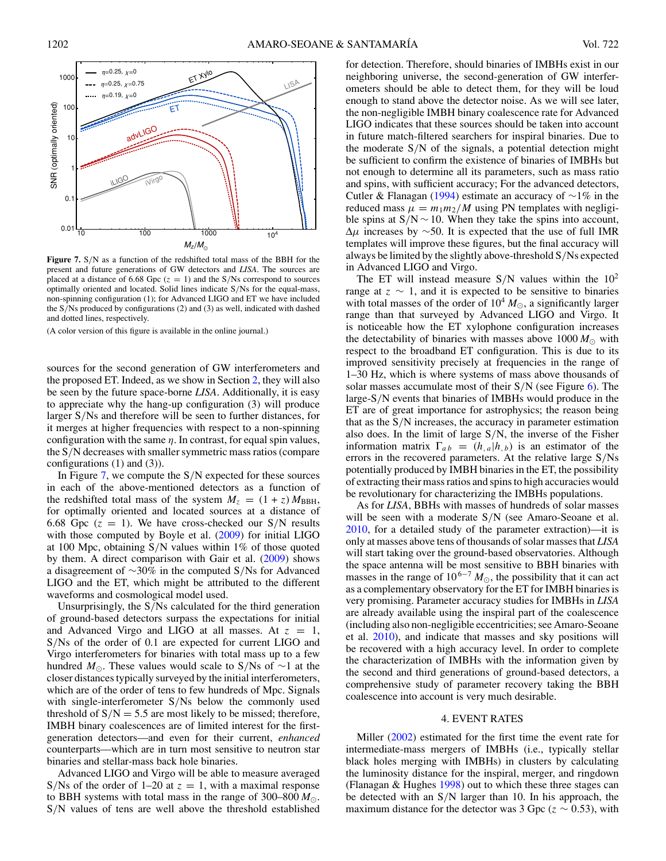<span id="page-5-0"></span>

**Figure 7.** S*/*N as a function of the redshifted total mass of the BBH for the present and future generations of GW detectors and *LISA*. The sources are placed at a distance of 6.68 Gpc  $(z = 1)$  and the S/Ns correspond to sources optimally oriented and located. Solid lines indicate S*/*Ns for the equal-mass, non-spinning configuration (1); for Advanced LIGO and ET we have included the S*/*Ns produced by configurations (2) and (3) as well, indicated with dashed and dotted lines, respectively.

(A color version of this figure is available in the online journal.)

sources for the second generation of GW interferometers and the proposed ET. Indeed, as we show in Section [2,](#page-1-0) they will also be seen by the future space-borne *LISA*. Additionally, it is easy to appreciate why the hang-up configuration (3) will produce larger S*/*Ns and therefore will be seen to further distances, for it merges at higher frequencies with respect to a non-spinning configuration with the same  $\eta$ . In contrast, for equal spin values, the S*/*N decreases with smaller symmetric mass ratios (compare configurations (1) and (3)).

In Figure 7, we compute the S*/*N expected for these sources in each of the above-mentioned detectors as a function of the redshifted total mass of the system  $M_z = (1 + z) M_{\text{BBH}}$ , for optimally oriented and located sources at a distance of 6.68 Gpc  $(z = 1)$ . We have cross-checked our S/N results with those computed by Boyle et al. [\(2009\)](#page-9-0) for initial LIGO at 100 Mpc, obtaining S*/*N values within 1% of those quoted by them. A direct comparison with Gair et al. [\(2009\)](#page-9-0) shows a disagreement of ∼30% in the computed S*/*Ns for Advanced LIGO and the ET, which might be attributed to the different waveforms and cosmological model used.

Unsurprisingly, the S*/*Ns calculated for the third generation of ground-based detectors surpass the expectations for initial and Advanced Virgo and LIGO at all masses. At  $z = 1$ , S*/*Ns of the order of 0.1 are expected for current LIGO and Virgo interferometers for binaries with total mass up to a few hundred *M*. These values would scale to S*/*Ns of ∼1 at the closer distances typically surveyed by the initial interferometers, which are of the order of tens to few hundreds of Mpc. Signals with single-interferometer S*/*Ns below the commonly used threshold of  $S/N = 5.5$  are most likely to be missed; therefore, IMBH binary coalescences are of limited interest for the firstgeneration detectors—and even for their current, *enhanced* counterparts—which are in turn most sensitive to neutron star binaries and stellar-mass back hole binaries.

Advanced LIGO and Virgo will be able to measure averaged S/Ns of the order of  $1-20$  at  $z = 1$ , with a maximal response to BBH systems with total mass in the range of  $300-800 M_{\odot}$ . S*/*N values of tens are well above the threshold established

for detection. Therefore, should binaries of IMBHs exist in our neighboring universe, the second-generation of GW interferometers should be able to detect them, for they will be loud enough to stand above the detector noise. As we will see later, the non-negligible IMBH binary coalescence rate for Advanced LIGO indicates that these sources should be taken into account in future match-filtered searchers for inspiral binaries. Due to the moderate S*/*N of the signals, a potential detection might be sufficient to confirm the existence of binaries of IMBHs but not enough to determine all its parameters, such as mass ratio and spins, with sufficient accuracy; For the advanced detectors, Cutler & Flanagan [\(1994\)](#page-9-0) estimate an accuracy of ∼1% in the reduced mass  $\mu = m_1 m_2 / M$  using PN templates with negligible spins at  $S/N \sim 10$ . When they take the spins into account,  $\Delta \mu$  increases by ~50. It is expected that the use of full IMR templates will improve these figures, but the final accuracy will always be limited by the slightly above-threshold S*/*Ns expected in Advanced LIGO and Virgo.

The ET will instead measure  $S/N$  values within the  $10<sup>2</sup>$ range at  $z \sim 1$ , and it is expected to be sensitive to binaries with total masses of the order of  $10^4 M_{\odot}$ , a significantly larger range than that surveyed by Advanced LIGO and Virgo. It is noticeable how the ET xylophone configuration increases the detectability of binaries with masses above  $1000 M_{\odot}$  with respect to the broadband ET configuration. This is due to its improved sensitivity precisely at frequencies in the range of 1–30 Hz, which is where systems of mass above thousands of solar masses accumulate most of their S*/*N (see Figure [6\)](#page-4-0). The large-S*/*N events that binaries of IMBHs would produce in the ET are of great importance for astrophysics; the reason being that as the S*/*N increases, the accuracy in parameter estimation also does. In the limit of large S*/*N, the inverse of the Fisher information matrix  $\Gamma_{ab} = (h_{a}|h_{b})$  is an estimator of the errors in the recovered parameters. At the relative large S*/*Ns potentially produced by IMBH binaries in the ET, the possibility of extracting their mass ratios and spins to high accuracies would be revolutionary for characterizing the IMBHs populations.

As for *LISA*, BBHs with masses of hundreds of solar masses will be seen with a moderate S*/*N (see Amaro-Seoane et al. [2010,](#page-9-0) for a detailed study of the parameter extraction)—it is only at masses above tens of thousands of solar masses that *LISA* will start taking over the ground-based observatories. Although the space antenna will be most sensitive to BBH binaries with masses in the range of  $10^{6-7} M_{\odot}$ , the possibility that it can act as a complementary observatory for the ET for IMBH binaries is very promising. Parameter accuracy studies for IMBHs in *LISA* are already available using the inspiral part of the coalescence (including also non-negligible eccentricities; see Amaro-Seoane et al. [2010\)](#page-9-0), and indicate that masses and sky positions will be recovered with a high accuracy level. In order to complete the characterization of IMBHs with the information given by the second and third generations of ground-based detectors, a comprehensive study of parameter recovery taking the BBH coalescence into account is very much desirable.

## 4. EVENT RATES

Miller [\(2002\)](#page-9-0) estimated for the first time the event rate for intermediate-mass mergers of IMBHs (i.e., typically stellar black holes merging with IMBHs) in clusters by calculating the luminosity distance for the inspiral, merger, and ringdown (Flanagan & Hughes [1998\)](#page-9-0) out to which these three stages can be detected with an S*/*N larger than 10. In his approach, the maximum distance for the detector was 3 Gpc ( $z \sim 0.53$ ), with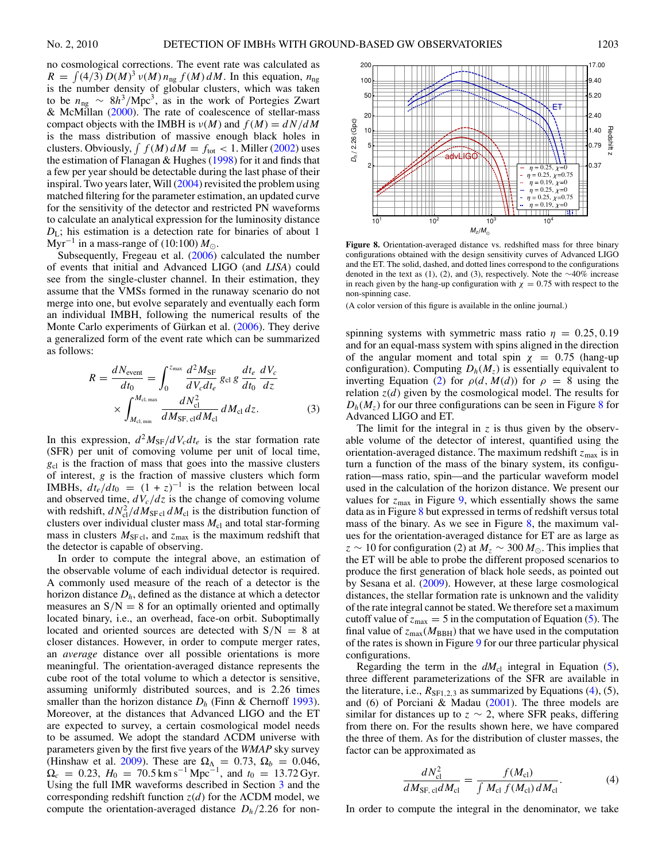<span id="page-6-0"></span>no cosmological corrections. The event rate was calculated as  $R = \int (4/3) D(M)^3 v(M) n_{\text{ng}} f(M) dM$ . In this equation,  $n_{\text{ng}}$ is the number density of globular clusters, which was taken to be *<sup>n</sup>*ng <sup>∼</sup> <sup>8</sup>*h*3*/*Mpc<sup>3</sup> , as in the work of Portegies Zwart & McMillan [\(2000\)](#page-9-0). The rate of coalescence of stellar-mass compact objects with the IMBH is  $\nu(M)$  and  $f(M) = dN/dM$ is the mass distribution of massive enough black holes in clusters. Obviously,  $\int f(M) dM = f_{\text{tot}} < 1$ . Miller [\(2002\)](#page-9-0) uses the estimation of Flanagan  $&$  Hughes [\(1998\)](#page-9-0) for it and finds that a few per year should be detectable during the last phase of their inspiral. Two years later, Will [\(2004\)](#page-9-0) revisited the problem using matched filtering for the parameter estimation, an updated curve for the sensitivity of the detector and restricted PN waveforms to calculate an analytical expression for the luminosity distance  $D_{\text{L}}$ ; his estimation is a detection rate for binaries of about 1 Myr<sup>-1</sup> in a mass-range of (10:100)  $M_{\odot}$ .

Subsequently, Fregeau et al. [\(2006\)](#page-9-0) calculated the number of events that initial and Advanced LIGO (and *LISA*) could see from the single-cluster channel. In their estimation, they assume that the VMSs formed in the runaway scenario do not merge into one, but evolve separately and eventually each form an individual IMBH, following the numerical results of the Monte Carlo experiments of Gürkan et al.  $(2006)$  $(2006)$ . They derive a generalized form of the event rate which can be summarized as follows:

$$
R = \frac{dN_{\text{event}}}{dt_0} = \int_0^{z_{\text{max}}} \frac{d^2 M_{\text{SF}}}{dV_c dt_e} g_{\text{cl}} g \frac{dt_e}{dt_0} \frac{dV_c}{dz}
$$
  
 
$$
\times \int_{M_{\text{cl,min}}}^{M_{\text{cl,max}}} \frac{dN_{\text{cl}}^2}{dM_{\text{SF, cl}} dM_{\text{cl}}} dM_{\text{cl}} dz. \tag{3}
$$

In this expression,  $d^2M_{\rm SF}/dV_c dt_e$  is the star formation rate (SFR) per unit of comoving volume per unit of local time, *g*cl is the fraction of mass that goes into the massive clusters of interest, *g* is the fraction of massive clusters which form IMBHs,  $dt_e/dt_0 = (1 + z)^{-1}$  is the relation between local and observed time,  $dV_c/dz$  is the change of comoving volume with redshift,  $dN_{\rm cl}^2/dM_{\rm SF\,cl} dM_{\rm cl}$  is the distribution function of clusters over individual cluster mass  $M_{\text{cl}}$  and total star-forming mass in clusters  $M_{\text{SFcl}}$ , and  $z_{\text{max}}$  is the maximum redshift that the detector is capable of observing.

In order to compute the integral above, an estimation of the observable volume of each individual detector is required. A commonly used measure of the reach of a detector is the horizon distance *Dh*, defined as the distance at which a detector measures an  $S/N = 8$  for an optimally oriented and optimally located binary, i.e., an overhead, face-on orbit. Suboptimally located and oriented sources are detected with  $S/N = 8$  at closer distances. However, in order to compute merger rates, an *average* distance over all possible orientations is more meaningful. The orientation-averaged distance represents the cube root of the total volume to which a detector is sensitive, assuming uniformly distributed sources, and is 2.26 times smaller than the horizon distance  $D_h$  (Finn & Chernoff [1993\)](#page-9-0). Moreover, at the distances that Advanced LIGO and the ET are expected to survey, a certain cosmological model needs to be assumed. We adopt the standard ΛCDM universe with parameters given by the first five years of the *WMAP* sky survey (Hinshaw et al. [2009\)](#page-9-0). These are  $\Omega_{\Lambda} = 0.73$ ,  $\Omega_{b} = 0.046$ ,  $\Omega_c = 0.23$ ,  $H_0 = 70.5$  km s<sup>-1</sup> Mpc<sup>-1</sup>, and  $t_0 = 13.72$  Gyr. Using the full IMR waveforms described in Section [3](#page-3-0) and the corresponding redshift function *z*(*d*) for the ΛCDM model, we compute the orientation-averaged distance  $D_h/2.26$  for non-



**Figure 8.** Orientation-averaged distance vs. redshifted mass for three binary configurations obtained with the design sensitivity curves of Advanced LIGO and the ET. The solid, dashed, and dotted lines correspond to the configurations denoted in the text as (1), (2), and (3), respectively. Note the ∼40% increase in reach given by the hang-up configuration with  $\chi = 0.75$  with respect to the non-spinning case.

(A color version of this figure is available in the online journal.)

spinning systems with symmetric mass ratio  $\eta = 0.25, 0.19$ and for an equal-mass system with spins aligned in the direction of the angular moment and total spin  $\chi = 0.75$  (hang-up configuration). Computing  $D_h(M_z)$  is essentially equivalent to inverting Equation [\(2\)](#page-4-0) for  $\rho(d, M(d))$  for  $\rho = 8$  using the relation  $z(d)$  given by the cosmological model. The results for  $D_h(M_z)$  for our three configurations can be seen in Figure 8 for Advanced LIGO and ET.

The limit for the integral in  $z$  is thus given by the observable volume of the detector of interest, quantified using the orientation-averaged distance. The maximum redshift  $z_{\text{max}}$  is in turn a function of the mass of the binary system, its configuration—mass ratio, spin—and the particular waveform model used in the calculation of the horizon distance. We present our values for  $z_{\text{max}}$  in Figure [9,](#page-7-0) which essentially shows the same data as in Figure 8 but expressed in terms of redshift versus total mass of the binary. As we see in Figure  $\frac{8}{3}$ , the maximum values for the orientation-averaged distance for ET are as large as  $z \sim 10$  for configuration (2) at  $M_z \sim 300 M_{\odot}$ . This implies that the ET will be able to probe the different proposed scenarios to produce the first generation of black hole seeds, as pointed out by Sesana et al. [\(2009\)](#page-9-0). However, at these large cosmological distances, the stellar formation rate is unknown and the validity of the rate integral cannot be stated. We therefore set a maximum cutoff value of  $z_{\text{max}} = 5$  in the computation of Equation [\(5\)](#page-7-0). The final value of  $z_{\text{max}}(M_{\text{BBH}})$  that we have used in the computation of the rates is shown in Figure [9](#page-7-0) for our three particular physical configurations.

Regarding the term in the  $dM_{cl}$  integral in Equation [\(5\)](#page-7-0), three different parameterizations of the SFR are available in the literature, i.e.,  $R_{\text{SFL2,3}}$  as summarized by Equations (4), (5), and (6) of Porciani & Madau  $(2001)$ . The three models are similar for distances up to  $z \sim 2$ , where SFR peaks, differing from there on. For the results shown here, we have compared the three of them. As for the distribution of cluster masses, the factor can be approximated as

$$
\frac{dN_{\rm cl}^2}{dM_{\rm SF, cl}dM_{\rm cl}} = \frac{f(M_{\rm cl})}{\int M_{\rm cl} f(M_{\rm cl}) dM_{\rm cl}}.\tag{4}
$$

In order to compute the integral in the denominator, we take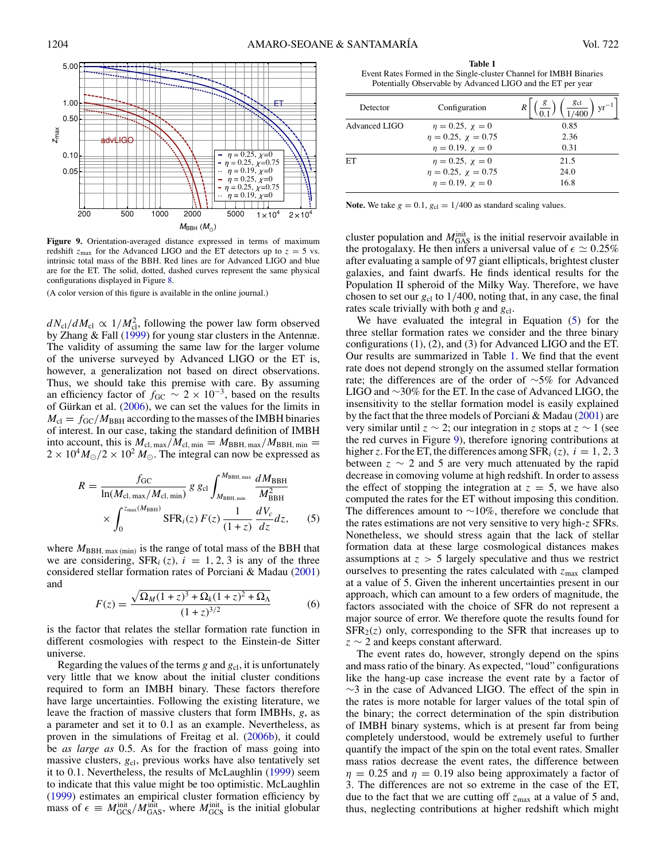<span id="page-7-0"></span>

**Figure 9.** Orientation-averaged distance expressed in terms of maximum redshift  $z_{\text{max}}$  for the Advanced LIGO and the ET detectors up to  $z = 5$  vs. intrinsic total mass of the BBH. Red lines are for Advanced LIGO and blue are for the ET. The solid, dotted, dashed curves represent the same physical configurations displayed in Figure [8.](#page-6-0)

(A color version of this figure is available in the online journal.)

 $dN_{\rm cl}/dM_{\rm cl} \propto 1/M_{\rm cl}^2$ , following the power law form observed by Zhang & Fall [\(1999\)](#page-9-0) for young star clusters in the Antennæ. The validity of assuming the same law for the larger volume of the universe surveyed by Advanced LIGO or the ET is, however, a generalization not based on direct observations. Thus, we should take this premise with care. By assuming an efficiency factor of  $f_{\text{GC}} \sim 2 \times 10^{-3}$ , based on the results of Gürkan et al.  $(2006)$  $(2006)$ , we can set the values for the limits in  $M_{\rm cl} = f_{\rm GC}/M_{\rm BBH}$  according to the masses of the IMBH binaries of interest. In our case, taking the standard definition of IMBH into account, this is  $M_{\text{cl, max}}/M_{\text{cl, min}} = M_{\text{BBH, max}}/M_{\text{BBH, min}} =$  $2 \times 10^4 M_{\odot}/2 \times 10^2 M_{\odot}$ . The integral can now be expressed as

$$
R = \frac{f_{\rm GC}}{\ln(M_{\rm cl, max}/M_{\rm cl, min})} g g_{\rm cl} \int_{M_{\rm BBH, min}}^{M_{\rm BBH, max}} \frac{dM_{\rm BBH}}{M_{\rm BBH}^2} \times \int_{0}^{z_{\rm max}(M_{\rm BBH})} \rm SFR_{i}(z) \, F(z) \, \frac{1}{(1+z)} \, \frac{dV_c}{dz} dz, \tag{5}
$$

where  $M_{\text{BBH, max (min)}}$  is the range of total mass of the BBH that we are considering,  $SFR_i(z)$ ,  $i = 1, 2, 3$  is any of the three considered stellar formation rates of Porciani & Madau [\(2001\)](#page-9-0) and

$$
F(z) = \frac{\sqrt{\Omega_M (1+z)^3 + \Omega_k (1+z)^2 + \Omega_\Lambda}}{(1+z)^{3/2}}
$$
(6)

is the factor that relates the stellar formation rate function in different cosmologies with respect to the Einstein-de Sitter universe.

Regarding the values of the terms  $g$  and  $g<sub>cl</sub>$ , it is unfortunately very little that we know about the initial cluster conditions required to form an IMBH binary. These factors therefore have large uncertainties. Following the existing literature, we leave the fraction of massive clusters that form IMBHs, *g*, as a parameter and set it to 0*.*1 as an example. Nevertheless, as proven in the simulations of Freitag et al. [\(2006b\)](#page-9-0), it could be *as large as* 0*.*5. As for the fraction of mass going into massive clusters,  $g_{cl}$ , previous works have also tentatively set it to 0*.*1. Nevertheless, the results of McLaughlin [\(1999\)](#page-9-0) seem to indicate that this value might be too optimistic. McLaughlin [\(1999\)](#page-9-0) estimates an empirical cluster formation efficiency by mass of  $\epsilon \equiv M_{GCS}^{\text{init}}/M_{GAS}^{\text{init}}$ , where  $M_{GCS}^{\text{init}}$  is the initial globular

**Table 1** Event Rates Formed in the Single-cluster Channel for IMBH Binaries Potentially Observable by Advanced LIGO and the ET per year

| Detector      | Configuration              | $g_{cl}$<br>vr <sup>-</sup> |
|---------------|----------------------------|-----------------------------|
| Advanced LIGO | $\eta = 0.25, \chi = 0$    | 0.85                        |
|               | $\eta = 0.25, \chi = 0.75$ | 2.36                        |
|               | $\eta = 0.19$ , $\chi = 0$ | 0.31                        |
| ET            | $\eta = 0.25, \chi = 0$    | 21.5                        |
|               | $\eta = 0.25, \chi = 0.75$ | 24.0                        |
|               | $n = 0.19$ , $\chi = 0$    | 16.8                        |

**Note.** We take  $g = 0.1$ ,  $g_{cl} = 1/400$  as standard scaling values.

cluster population and  $M_{\text{GAS}}^{\text{init}}$  is the initial reservoir available in the protogalaxy. He then infers a universal value of  $\epsilon \simeq 0.25\%$ after evaluating a sample of 97 giant ellipticals, brightest cluster galaxies, and faint dwarfs. He finds identical results for the Population II spheroid of the Milky Way. Therefore, we have chosen to set our  $g_{cl}$  to  $1/400$ , noting that, in any case, the final rates scale trivially with both *g* and *g*<sub>cl</sub>.

We have evaluated the integral in Equation (5) for the three stellar formation rates we consider and the three binary configurations (1), (2), and (3) for Advanced LIGO and the ET. Our results are summarized in Table 1. We find that the event rate does not depend strongly on the assumed stellar formation rate; the differences are of the order of ∼5% for Advanced LIGO and ∼30% for the ET. In the case of Advanced LIGO, the insensitivity to the stellar formation model is easily explained by the fact that the three models of Porciani & Madau [\(2001\)](#page-9-0) are very similar until *z* ∼ 2; our integration in *z* stops at *z* ∼ 1 (see the red curves in Figure 9), therefore ignoring contributions at higher *z*. For the ET, the differences among  $SFR_i(z)$ ,  $i = 1, 2, 3$ between  $z \sim 2$  and 5 are very much attenuated by the rapid decrease in comoving volume at high redshift. In order to assess the effect of stopping the integration at  $z = 5$ , we have also computed the rates for the ET without imposing this condition. The differences amount to  $~\sim 10\%$ , therefore we conclude that the rates estimations are not very sensitive to very high-*z* SFRs. Nonetheless, we should stress again that the lack of stellar formation data at these large cosmological distances makes assumptions at *z >* 5 largely speculative and thus we restrict ourselves to presenting the rates calculated with  $z_{\text{max}}$  clamped at a value of 5. Given the inherent uncertainties present in our approach, which can amount to a few orders of magnitude, the factors associated with the choice of SFR do not represent a major source of error. We therefore quote the results found for  $SFR<sub>2</sub>(z)$  only, corresponding to the SFR that increases up to *z* ∼ 2 and keeps constant afterward.

The event rates do, however, strongly depend on the spins and mass ratio of the binary. As expected, "loud" configurations like the hang-up case increase the event rate by a factor of ∼3 in the case of Advanced LIGO. The effect of the spin in the rates is more notable for larger values of the total spin of the binary; the correct determination of the spin distribution of IMBH binary systems, which is at present far from being completely understood, would be extremely useful to further quantify the impact of the spin on the total event rates. Smaller mass ratios decrease the event rates, the difference between  $\eta = 0.25$  and  $\eta = 0.19$  also being approximately a factor of 3. The differences are not so extreme in the case of the ET, due to the fact that we are cutting off  $z_{\text{max}}$  at a value of 5 and, thus, neglecting contributions at higher redshift which might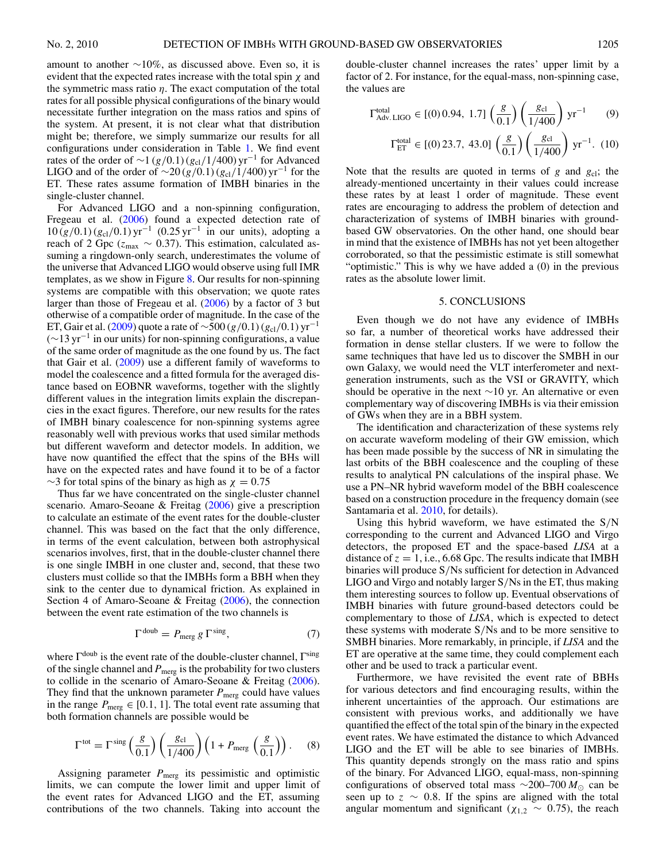<span id="page-8-0"></span>amount to another  $\sim 10\%$ , as discussed above. Even so, it is evident that the expected rates increase with the total spin *χ* and the symmetric mass ratio *η*. The exact computation of the total rates for all possible physical configurations of the binary would necessitate further integration on the mass ratios and spins of the system. At present, it is not clear what that distribution might be; therefore, we simply summarize our results for all configurations under consideration in Table [1.](#page-7-0) We find event rates of the order of  $\sim$ 1 (*g*/0*.*1) (*g*<sub>cl</sub>/1/400) yr<sup>-1</sup> for Advanced LIGO and of the order of  $\sim$ 20(*g*/0.1)(*g*<sub>cl</sub>/1/400) yr<sup>−1</sup> for the ET. These rates assume formation of IMBH binaries in the single-cluster channel.

For Advanced LIGO and a non-spinning configuration, Fregeau et al. [\(2006\)](#page-9-0) found a expected detection rate of 10 (*g/*0*.*1) (*g*cl*/*0*.*1) yr−<sup>1</sup> (0*.*25 yr−<sup>1</sup> in our units), adopting a reach of 2 Gpc (*z*max ∼ 0*.*37). This estimation, calculated assuming a ringdown-only search, underestimates the volume of the universe that Advanced LIGO would observe using full IMR templates, as we show in Figure [8.](#page-6-0) Our results for non-spinning systems are compatible with this observation; we quote rates larger than those of Fregeau et al. [\(2006\)](#page-9-0) by a factor of 3 but otherwise of a compatible order of magnitude. In the case of the ET, Gair et al. [\(2009\)](#page-9-0) quote a rate of  $\sim$ 500 (*g*/0*.*1) (*g*<sub>cl</sub>/0*.*1) yr<sup>-1</sup>  $(\sim 13 \,\text{yr}^{-1})$  in our units) for non-spinning configurations, a value of the same order of magnitude as the one found by us. The fact that Gair et al. [\(2009\)](#page-9-0) use a different family of waveforms to model the coalescence and a fitted formula for the averaged distance based on EOBNR waveforms, together with the slightly different values in the integration limits explain the discrepancies in the exact figures. Therefore, our new results for the rates of IMBH binary coalescence for non-spinning systems agree reasonably well with previous works that used similar methods but different waveform and detector models. In addition, we have now quantified the effect that the spins of the BHs will have on the expected rates and have found it to be of a factor  $\sim$ 3 for total spins of the binary as high as  $\chi = 0.75$ 

Thus far we have concentrated on the single-cluster channel scenario. Amaro-Seoane & Freitag [\(2006\)](#page-9-0) give a prescription to calculate an estimate of the event rates for the double-cluster channel. This was based on the fact that the only difference, in terms of the event calculation, between both astrophysical scenarios involves, first, that in the double-cluster channel there is one single IMBH in one cluster and, second, that these two clusters must collide so that the IMBHs form a BBH when they sink to the center due to dynamical friction. As explained in Section 4 of Amaro-Seoane & Freitag [\(2006\)](#page-9-0), the connection between the event rate estimation of the two channels is

$$
\Gamma^{\text{doub}} = P_{\text{merg}} g \Gamma^{\text{sing}}, \tag{7}
$$

where  $\Gamma^{\text{doub}}$  is the event rate of the double-cluster channel,  $\Gamma^{\text{sing}}$ of the single channel and  $P_{\text{merg}}$  is the probability for two clusters to collide in the scenario of Amaro-Seoane & Freitag [\(2006\)](#page-9-0). They find that the unknown parameter  $P_{\text{merg}}$  could have values in the range  $P_{\text{merg}} \in [0.1, 1]$ . The total event rate assuming that both formation channels are possible would be

$$
\Gamma^{\text{tot}} = \Gamma^{\text{sing}} \left( \frac{g}{0.1} \right) \left( \frac{g_{\text{cl}}}{1/400} \right) \left( 1 + P_{\text{merg}} \left( \frac{g}{0.1} \right) \right). \tag{8}
$$

Assigning parameter *P*<sub>merg</sub> its pessimistic and optimistic limits, we can compute the lower limit and upper limit of the event rates for Advanced LIGO and the ET, assuming contributions of the two channels. Taking into account the

double-cluster channel increases the rates' upper limit by a factor of 2. For instance, for the equal-mass, non-spinning case, the values are

$$
\Gamma_{\text{Adv. LIGO}}^{\text{total}} \in [(0) 0.94, 1.7] \left(\frac{g}{0.1}\right) \left(\frac{g_{\text{cl}}}{1/400}\right) \text{yr}^{-1} \tag{9}
$$

$$
\Gamma_{\text{ET}}^{\text{total}} \in [(0) 23.7, 43.0] \left(\frac{g}{0.1}\right) \left(\frac{g_{\text{cl}}}{1/400}\right) \text{ yr}^{-1}.
$$
 (10)

Note that the results are quoted in terms of  $g$  and  $g<sub>cl</sub>$ ; the already-mentioned uncertainty in their values could increase these rates by at least 1 order of magnitude. These event rates are encouraging to address the problem of detection and characterization of systems of IMBH binaries with groundbased GW observatories. On the other hand, one should bear in mind that the existence of IMBHs has not yet been altogether corroborated, so that the pessimistic estimate is still somewhat "optimistic." This is why we have added a (0) in the previous rates as the absolute lower limit.

#### 5. CONCLUSIONS

Even though we do not have any evidence of IMBHs so far, a number of theoretical works have addressed their formation in dense stellar clusters. If we were to follow the same techniques that have led us to discover the SMBH in our own Galaxy, we would need the VLT interferometer and nextgeneration instruments, such as the VSI or GRAVITY, which should be operative in the next  $\sim$ 10 yr. An alternative or even complementary way of discovering IMBHs is via their emission of GWs when they are in a BBH system.

The identification and characterization of these systems rely on accurate waveform modeling of their GW emission, which has been made possible by the success of NR in simulating the last orbits of the BBH coalescence and the coupling of these results to analytical PN calculations of the inspiral phase. We use a PN–NR hybrid waveform model of the BBH coalescence based on a construction procedure in the frequency domain (see Santamaria et al. [2010,](#page-9-0) for details).

Using this hybrid waveform, we have estimated the S*/*N corresponding to the current and Advanced LIGO and Virgo detectors, the proposed ET and the space-based *LISA* at a distance of  $z = 1$ , i.e., 6.68 Gpc. The results indicate that IMBH binaries will produce S*/*Ns sufficient for detection in Advanced LIGO and Virgo and notably larger S*/*Ns in the ET, thus making them interesting sources to follow up. Eventual observations of IMBH binaries with future ground-based detectors could be complementary to those of *LISA*, which is expected to detect these systems with moderate S*/*Ns and to be more sensitive to SMBH binaries. More remarkably, in principle, if *LISA* and the ET are operative at the same time, they could complement each other and be used to track a particular event.

Furthermore, we have revisited the event rate of BBHs for various detectors and find encouraging results, within the inherent uncertainties of the approach. Our estimations are consistent with previous works, and additionally we have quantified the effect of the total spin of the binary in the expected event rates. We have estimated the distance to which Advanced LIGO and the ET will be able to see binaries of IMBHs. This quantity depends strongly on the mass ratio and spins of the binary. For Advanced LIGO, equal-mass, non-spinning configurations of observed total mass ~200–700 *M*<sub>⊙</sub> can be seen up to  $z \sim 0.8$ . If the spins are aligned with the total angular momentum and significant ( $\chi_{1,2} \sim 0.75$ ), the reach